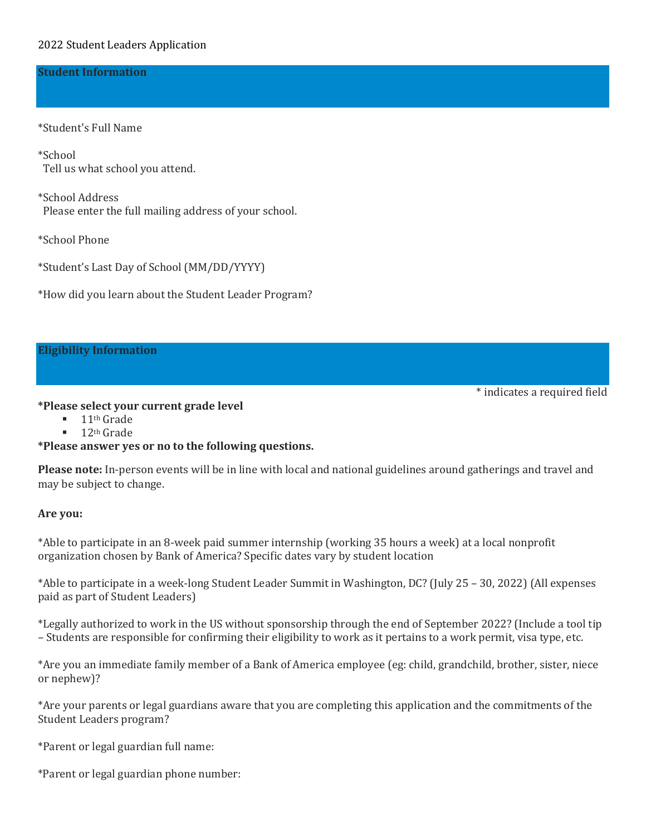#### **Student Information**

\*Student's Full Name

\*School Tell us what school you attend.

\*School Address Please enter the full mailing address of your school.

\*School Phone

\*Student's Last Day of School (MM/DD/YYYY)

\*How did you learn about the Student Leader Program?

#### **Eligibility Information**

#### **\*Please select your current grade level**

- $\blacksquare$  11<sup>th</sup> Grade
- $\blacksquare$  12<sup>th</sup> Grade

### **\*Please answer yes or no to the following questions.**

**Please note:** In-person events will be in line with local and national guidelines around gatherings and travel and may be subject to change.

\* indicates a required field

#### **Are you:**

\*Able to participate in an 8-week paid summer internship (working 35 hours a week) at a local nonprofit organization chosen by Bank of America? Specific dates vary by student location

\*Able to participate in a week-long Student Leader Summit in Washington, DC? (July 25 – 30, 2022) (All expenses paid as part of Student Leaders)

\*Legally authorized to work in the US without sponsorship through the end of September 2022? (Include a tool tip – Students are responsible for confirming their eligibility to work as it pertains to a work permit, visa type, etc.

\*Are you an immediate family member of a Bank of America employee (eg: child, grandchild, brother, sister, niece or nephew)?

\*Are your parents or legal guardians aware that you are completing this application and the commitments of the Student Leaders program?

\*Parent or legal guardian full name:

\*Parent or legal guardian phone number: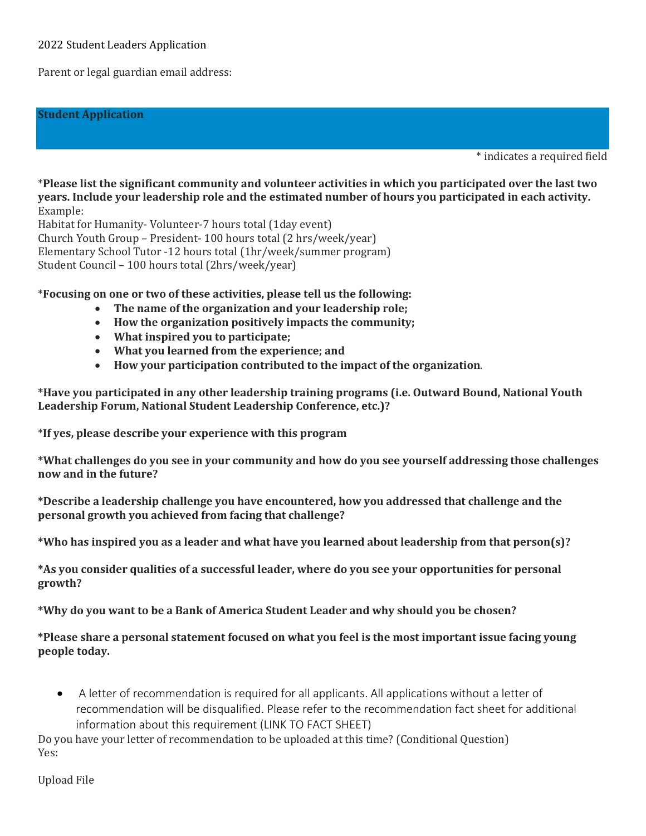### 2022 Student Leaders Application

Parent or legal guardian email address:

#### **Student Application**

\* indicates a required field

\***Please list the significant community and volunteer activities in which you participated over the last two years. Include your leadership role and the estimated number of hours you participated in each activity.** Example:

Habitat for Humanity- Volunteer-7 hours total (1day event) Church Youth Group – President- 100 hours total (2 hrs/week/year) Elementary School Tutor -12 hours total (1hr/week/summer program) Student Council – 100 hours total (2hrs/week/year)

\***Focusing on one or two of these activities, please tell us the following:** 

- **The name of the organization and your leadership role;**
- **How the organization positively impacts the community;**
- **What inspired you to participate;**
- **What you learned from the experience; and**
- **How your participation contributed to the impact of the organization**.

**\*Have you participated in any other leadership training programs (i.e. Outward Bound, National Youth Leadership Forum, National Student Leadership Conference, etc.)?**

\***If yes, please describe your experience with this program**

**\*What challenges do you see in your community and how do you see yourself addressing those challenges now and in the future?** 

**\*Describe a leadership challenge you have encountered, how you addressed that challenge and the personal growth you achieved from facing that challenge?** 

**\*Who has inspired you as a leader and what have you learned about leadership from that person(s)?**

**\*As you consider qualities of a successful leader, where do you see your opportunities for personal growth?** 

**\*Why do you want to be a Bank of America Student Leader and why should you be chosen?** 

**\*Please share a personal statement focused on what you feel is the most important issue facing young people today.** 

• A letter of recommendation is required for all applicants. All applications without a letter of recommendation will be disqualified. Please refer to the recommendation fact sheet for additional information about this requirement (LINK TO FACT SHEET)

Do you have your letter of recommendation to be uploaded at this time? (Conditional Question) Yes:

[Upload File](javascript:void(0))